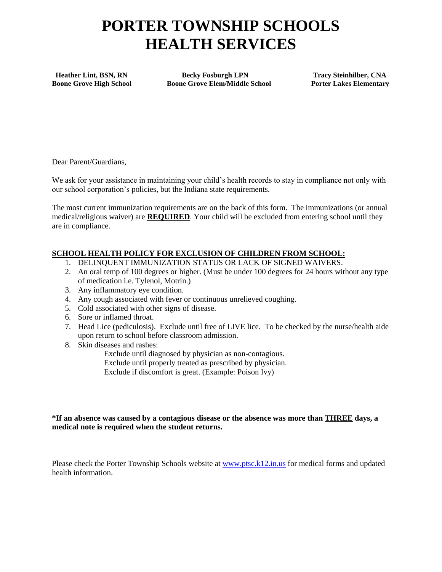# **PORTER TOWNSHIP SCHOOLS HEALTH SERVICES**

 **Heather Lint, BSN, RN Becky Fosburgh LPN Tracy Steinhilber, CNA Boone Grove High School Boone Grove Elem/Middle School Porter Lakes Elementary** 

Dear Parent/Guardians,

We ask for your assistance in maintaining your child's health records to stay in compliance not only with our school corporation's policies, but the Indiana state requirements.

The most current immunization requirements are on the back of this form. The immunizations (or annual medical/religious waiver) are **REQUIRED**. Your child will be excluded from entering school until they are in compliance.

## **SCHOOL HEALTH POLICY FOR EXCLUSION OF CHILDREN FROM SCHOOL:**

- 1. DELINQUENT IMMUNIZATION STATUS OR LACK OF SIGNED WAIVERS.
- 2. An oral temp of 100 degrees or higher. (Must be under 100 degrees for 24 hours without any type of medication i.e. Tylenol, Motrin.)
- 3. Any inflammatory eye condition.
- 4. Any cough associated with fever or continuous unrelieved coughing.
- 5. Cold associated with other signs of disease.
- 6. Sore or inflamed throat.
- 7. Head Lice (pediculosis). Exclude until free of LIVE lice. To be checked by the nurse/health aide upon return to school before classroom admission.
- 8. Skin diseases and rashes:

Exclude until diagnosed by physician as non-contagious.

Exclude until properly treated as prescribed by physician.

Exclude if discomfort is great. (Example: Poison Ivy)

#### **\*If an absence was caused by a contagious disease or the absence was more than THREE days, a medical note is required when the student returns.**

Please check the Porter Township Schools website at [www.ptsc.k12.in.us](http://www.ptsc.k12.in.us/) for medical forms and updated health information.